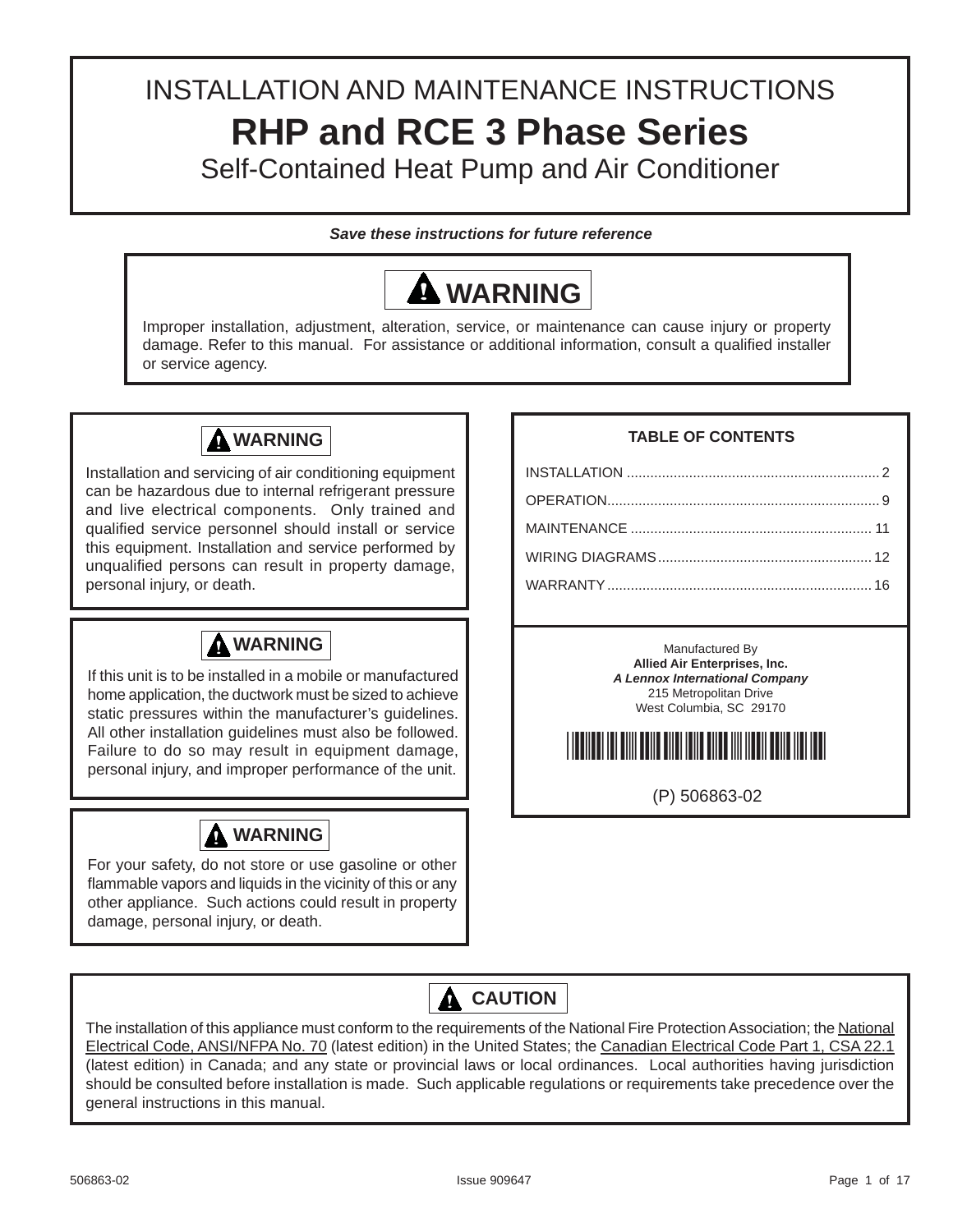# INSTALLATION AND MAINTENANCE INSTRUCTIONS **RHP and RCE 3 Phase Series** Self-Contained Heat Pump and Air Conditioner

*Save these instructions for future reference*



Improper installation, adjustment, alteration, service, or maintenance can cause injury or property damage. Refer to this manual. For assistance or additional information, consult a qualified installer or service agency.



Installation and servicing of air conditioning equipment can be hazardous due to internal refrigerant pressure and live electrical components. Only trained and qualified service personnel should install or service this equipment. Installation and service performed by unqualified persons can result in property damage, personal injury, or death.

# **WARNING**

If this unit is to be installed in a mobile or manufactured home application, the ductwork must be sized to achieve static pressures within the manufacturer's guidelines. All other installation guidelines must also be followed. Failure to do so may result in equipment damage, personal injury, and improper performance of the unit.



For your safety, do not store or use gasoline or other flammable vapors and liquids in the vicinity of this or any other appliance. Such actions could result in property damage, personal injury, or death.

### **TABLE OF CONTENTS**

Manufactured By **Allied Air Enterprises, Inc.** *A Lennox International Company* 215 Metropolitan Drive West Columbia, SC 29170



(P) 506863-02

# **CAUTION**

The installation of this appliance must conform to the requirements of the National Fire Protection Association; the National Electrical Code, ANSI/NFPA No. 70 (latest edition) in the United States; the Canadian Electrical Code Part 1, CSA 22.1 (latest edition) in Canada; and any state or provincial laws or local ordinances. Local authorities having jurisdiction should be consulted before installation is made. Such applicable regulations or requirements take precedence over the general instructions in this manual.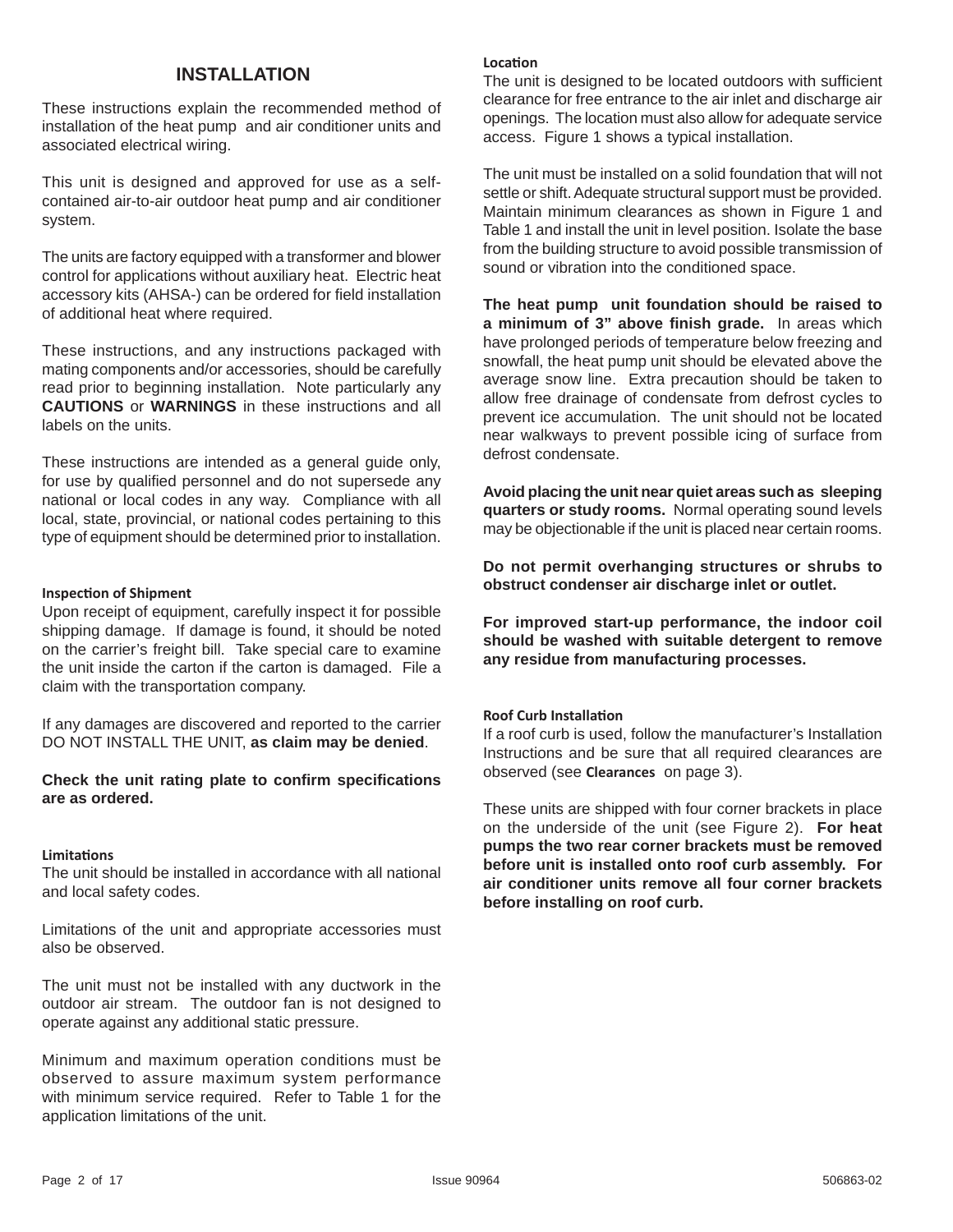### **INSTALLATION**

These instructions explain the recommended method of installation of the heat pump and air conditioner units and associated electrical wiring.

This unit is designed and approved for use as a selfcontained air-to-air outdoor heat pump and air conditioner system.

The units are factory equipped with a transformer and blower control for applications without auxiliary heat. Electric heat accessory kits (AHSA-) can be ordered for field installation of additional heat where required.

These instructions, and any instructions packaged with mating components and/or accessories, should be carefully read prior to beginning installation. Note particularly any **CAUTIONS** or **WARNINGS** in these instructions and all labels on the units.

These instructions are intended as a general guide only, for use by qualified personnel and do not supersede any national or local codes in any way. Compliance with all local, state, provincial, or national codes pertaining to this type of equipment should be determined prior to installation.

#### **InspecƟ on of Shipment**

Upon receipt of equipment, carefully inspect it for possible shipping damage. If damage is found, it should be noted on the carrier's freight bill. Take special care to examine the unit inside the carton if the carton is damaged. File a claim with the transportation company.

If any damages are discovered and reported to the carrier DO NOT INSTALL THE UNIT, **as claim may be denied**.

**Check the unit rating plate to confirm specifications are as ordered.**

#### **LimitaƟ ons**

The unit should be installed in accordance with all national and local safety codes.

Limitations of the unit and appropriate accessories must also be observed.

The unit must not be installed with any ductwork in the outdoor air stream. The outdoor fan is not designed to operate against any additional static pressure.

Minimum and maximum operation conditions must be observed to assure maximum system performance with minimum service required. Refer to Table 1 for the application limitations of the unit.

#### **LocaƟ on**

The unit is designed to be located outdoors with sufficient clearance for free entrance to the air inlet and discharge air openings. The location must also allow for adequate service access. Figure 1 shows a typical installation.

The unit must be installed on a solid foundation that will not settle or shift. Adequate structural support must be provided. Maintain minimum clearances as shown in Figure 1 and Table 1 and install the unit in level position. Isolate the base from the building structure to avoid possible transmission of sound or vibration into the conditioned space.

**The heat pump unit foundation should be raised to a minimum of 3" above finish grade.** In areas which have prolonged periods of temperature below freezing and snowfall, the heat pump unit should be elevated above the average snow line. Extra precaution should be taken to allow free drainage of condensate from defrost cycles to prevent ice accumulation. The unit should not be located near walkways to prevent possible icing of surface from defrost condensate.

**Avoid placing the unit near quiet areas such as sleeping quarters or study rooms.** Normal operating sound levels may be objectionable if the unit is placed near certain rooms.

**Do not permit overhanging structures or shrubs to obstruct condenser air discharge inlet or outlet.**

**For improved start-up performance, the indoor coil should be washed with suitable detergent to remove any residue from manufacturing processes.** 

#### **Roof Curb Installation**

If a roof curb is used, follow the manufacturer's Installation Instructions and be sure that all required clearances are observed (see **Clearances** on page 3).

These units are shipped with four corner brackets in place on the underside of the unit (see Figure 2). **For heat pumps the two rear corner brackets must be removed before unit is installed onto roof curb assembly. For air conditioner units remove all four corner brackets before installing on roof curb.**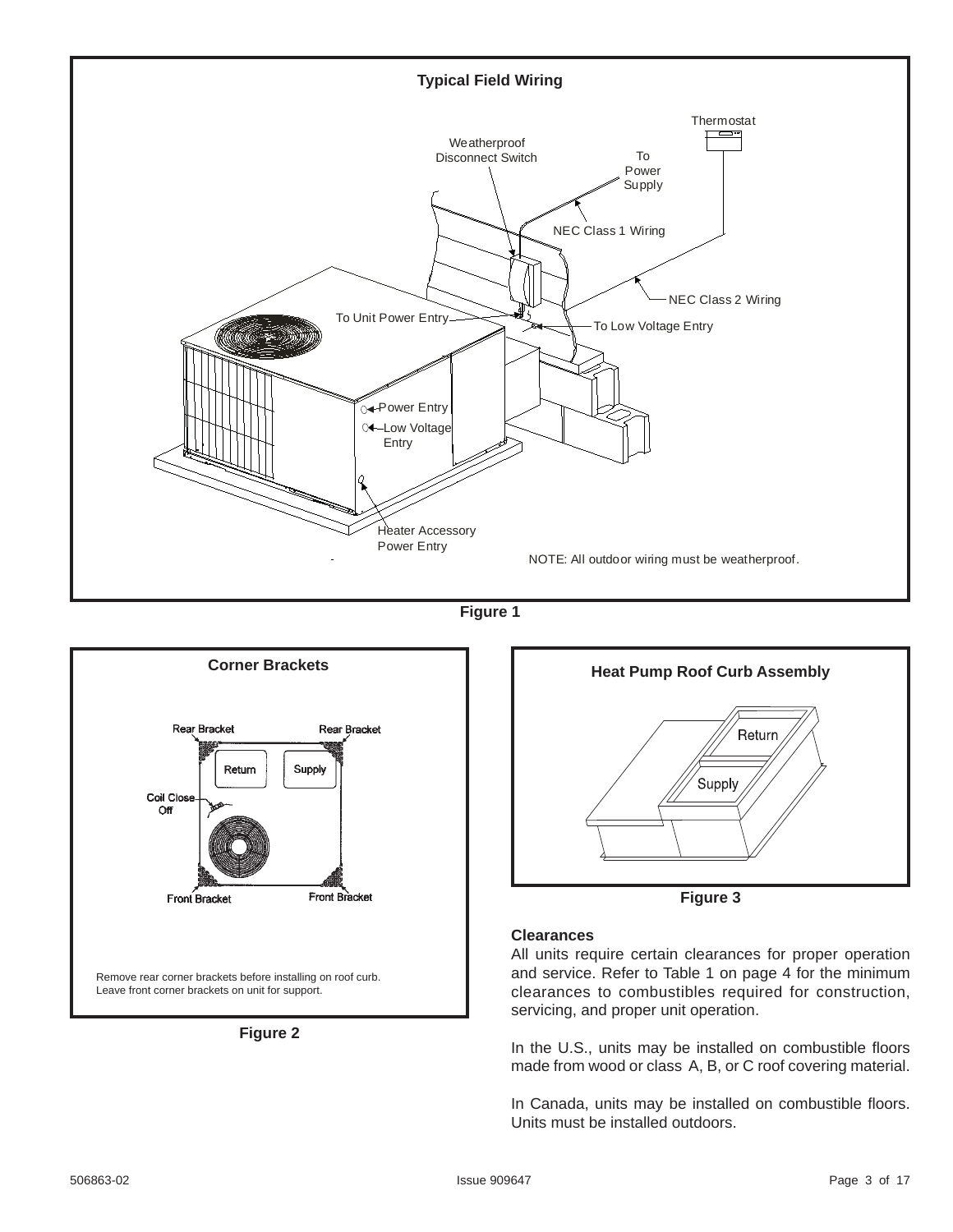

**Figure 1**



**Figure 2**



**Figure 3**

#### **Clearances**

All units require certain clearances for proper operation and service. Refer to Table 1 on page 4 for the minimum clearances to combustibles required for construction, servicing, and proper unit operation.

In the U.S., units may be installed on combustible floors made from wood or class A, B, or C roof covering material.

In Canada, units may be installed on combustible floors. Units must be installed outdoors.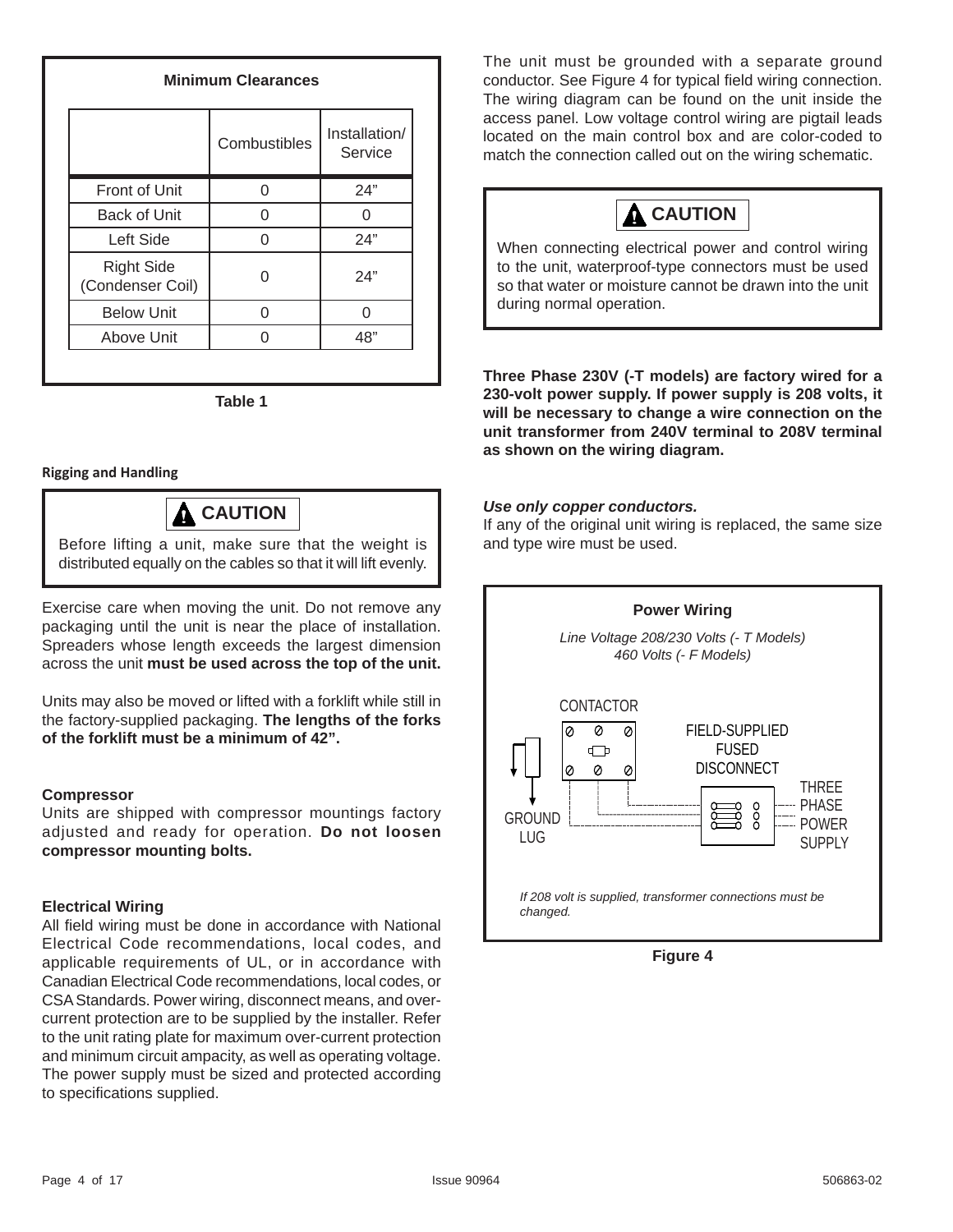### **Minimum Clearances**

|                                       | Combustibles | Installation/<br>Service |
|---------------------------------------|--------------|--------------------------|
| Front of Unit                         |              | 24"                      |
| <b>Back of Unit</b>                   |              |                          |
| Left Side                             |              | 24"                      |
| <b>Right Side</b><br>(Condenser Coil) |              | 24"                      |
| <b>Below Unit</b>                     |              |                          |
| Above Unit                            |              | 48"                      |

**Table 1**

#### **Rigging and Handling**

# **CAUTION**

Before lifting a unit, make sure that the weight is distributed equally on the cables so that it will lift evenly.

Exercise care when moving the unit. Do not remove any packaging until the unit is near the place of installation. Spreaders whose length exceeds the largest dimension across the unit **must be used across the top of the unit.**

Units may also be moved or lifted with a forklift while still in the factory-supplied packaging. **The lengths of the forks of the forklift must be a minimum of 42".**

#### **Compressor**

Units are shipped with compressor mountings factory adjusted and ready for operation. **Do not loosen compressor mounting bolts.**

#### **Electrical Wiring**

All field wiring must be done in accordance with National Electrical Code recommendations, local codes, and applicable requirements of UL, or in accordance with Canadian Electrical Code recommendations, local codes, or CSA Standards. Power wiring, disconnect means, and overcurrent protection are to be supplied by the installer. Refer to the unit rating plate for maximum over-current protection and minimum circuit ampacity, as well as operating voltage. The power supply must be sized and protected according to specifications supplied.

The unit must be grounded with a separate ground conductor. See Figure 4 for typical field wiring connection. The wiring diagram can be found on the unit inside the access panel. Low voltage control wiring are pigtail leads located on the main control box and are color-coded to match the connection called out on the wiring schematic.



When connecting electrical power and control wiring to the unit, waterproof-type connectors must be used so that water or moisture cannot be drawn into the unit during normal operation.

**Three Phase 230V (-T models) are factory wired for a 230-volt power supply. If power supply is 208 volts, it will be necessary to change a wire connection on the unit transformer from 240V terminal to 208V terminal as shown on the wiring diagram.**

#### *Use only copper conductors.*

If any of the original unit wiring is replaced, the same size and type wire must be used.



**Figure 4**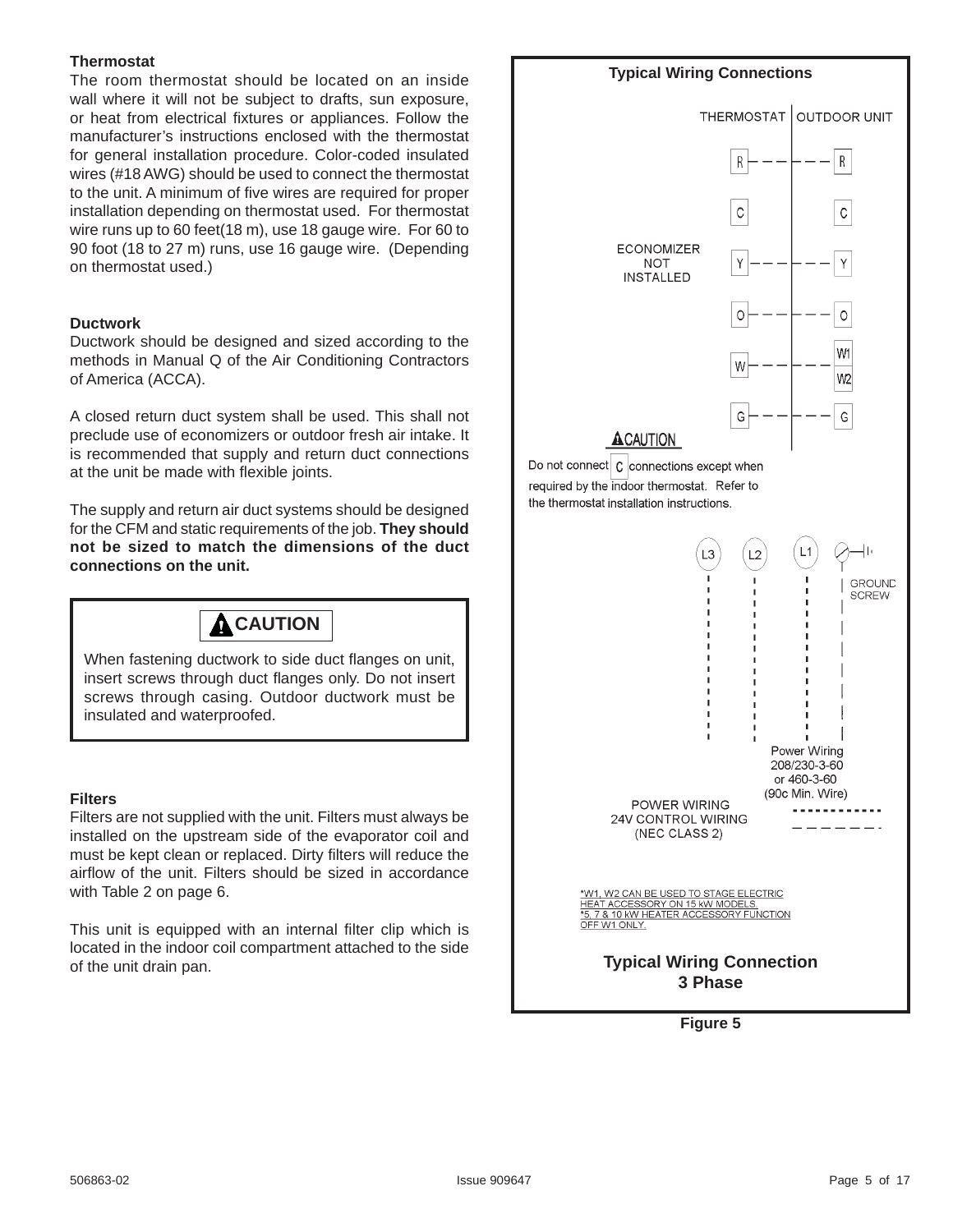#### **Thermostat**

The room thermostat should be located on an inside wall where it will not be subject to drafts, sun exposure, or heat from electrical fixtures or appliances. Follow the manufacturer's instructions enclosed with the thermostat for general installation procedure. Color-coded insulated wires (#18 AWG) should be used to connect the thermostat to the unit. A minimum of five wires are required for proper installation depending on thermostat used. For thermostat wire runs up to 60 feet(18 m), use 18 gauge wire. For 60 to 90 foot (18 to 27 m) runs, use 16 gauge wire. (Depending on thermostat used.)

#### **Ductwork**

Ductwork should be designed and sized according to the methods in Manual Q of the Air Conditioning Contractors of America (ACCA).

A closed return duct system shall be used. This shall not preclude use of economizers or outdoor fresh air intake. It is recommended that supply and return duct connections at the unit be made with flexible joints.

The supply and return air duct systems should be designed for the CFM and static requirements of the job. **They should not be sized to match the dimensions of the duct connections on the unit.**



When fastening ductwork to side duct flanges on unit, insert screws through duct flanges only. Do not insert screws through casing. Outdoor ductwork must be insulated and waterproofed.

#### **Filters**

Filters are not supplied with the unit. Filters must always be installed on the upstream side of the evaporator coil and must be kept clean or replaced. Dirty filters will reduce the airflow of the unit. Filters should be sized in accordance with Table 2 on page 6.

This unit is equipped with an internal filter clip which is located in the indoor coil compartment attached to the side of the unit drain pan.



**Figure 5**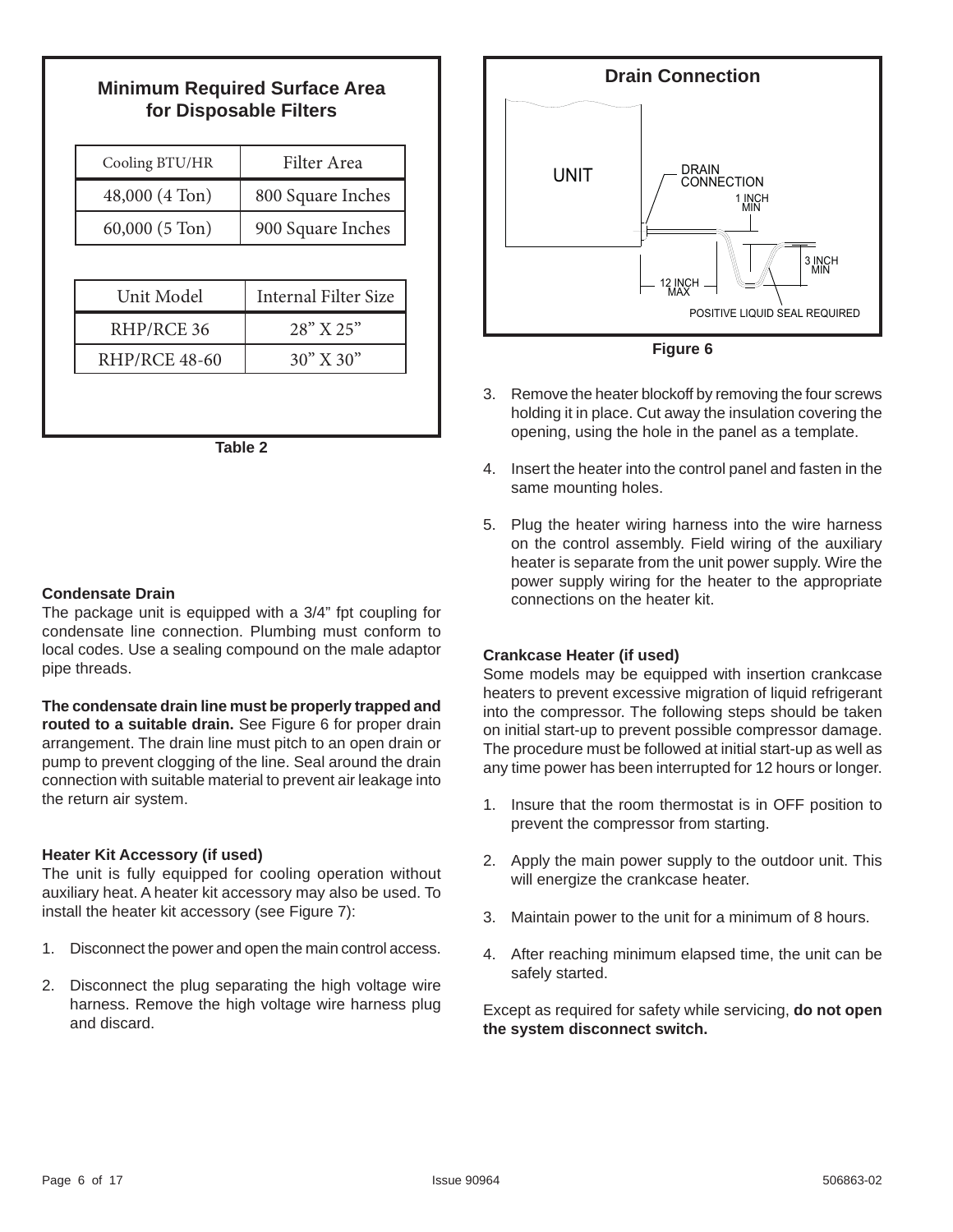## **Minimum Required Surface Area for Disposable Filters**

| Filter Area          |  |
|----------------------|--|
| 800 Square Inches    |  |
| 900 Square Inches    |  |
|                      |  |
| Internal Filter Size |  |
| $28''$ X $25''$      |  |
| $30''$ X $30''$      |  |
|                      |  |

**Table 2**

#### **Condensate Drain**

The package unit is equipped with a 3/4" fpt coupling for condensate line connection. Plumbing must conform to local codes. Use a sealing compound on the male adaptor pipe threads.

#### **The condensate drain line must be properly trapped and routed to a suitable drain.** See Figure 6 for proper drain arrangement. The drain line must pitch to an open drain or pump to prevent clogging of the line. Seal around the drain connection with suitable material to prevent air leakage into the return air system.

#### **Heater Kit Accessory (if used)**

The unit is fully equipped for cooling operation without auxiliary heat. A heater kit accessory may also be used. To install the heater kit accessory (see Figure 7):

- 1. Disconnect the power and open the main control access.
- 2. Disconnect the plug separating the high voltage wire harness. Remove the high voltage wire harness plug and discard.



**Figure 6**

- 3. Remove the heater blockoff by removing the four screws holding it in place. Cut away the insulation covering the opening, using the hole in the panel as a template.
- 4. Insert the heater into the control panel and fasten in the same mounting holes.
- 5. Plug the heater wiring harness into the wire harness on the control assembly. Field wiring of the auxiliary heater is separate from the unit power supply. Wire the power supply wiring for the heater to the appropriate connections on the heater kit.

#### **Crankcase Heater (if used)**

Some models may be equipped with insertion crankcase heaters to prevent excessive migration of liquid refrigerant into the compressor. The following steps should be taken on initial start-up to prevent possible compressor damage. The procedure must be followed at initial start-up as well as any time power has been interrupted for 12 hours or longer.

- 1. Insure that the room thermostat is in OFF position to prevent the compressor from starting.
- 2. Apply the main power supply to the outdoor unit. This will energize the crankcase heater.
- 3. Maintain power to the unit for a minimum of 8 hours.
- 4. After reaching minimum elapsed time, the unit can be safely started.

Except as required for safety while servicing, **do not open the system disconnect switch.**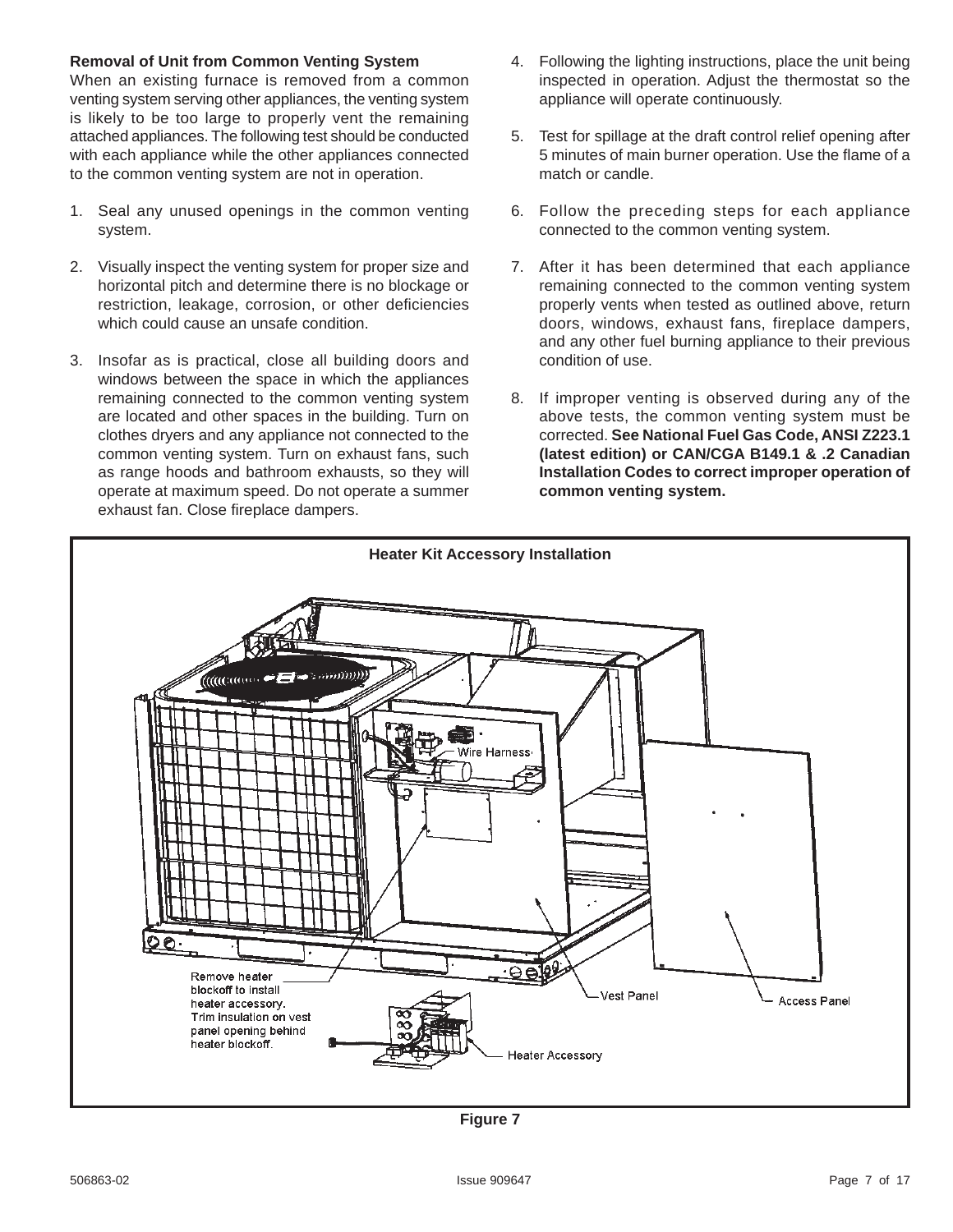#### **Removal of Unit from Common Venting System**

When an existing furnace is removed from a common venting system serving other appliances, the venting system is likely to be too large to properly vent the remaining attached appliances. The following test should be conducted with each appliance while the other appliances connected to the common venting system are not in operation.

- 1. Seal any unused openings in the common venting system.
- 2. Visually inspect the venting system for proper size and horizontal pitch and determine there is no blockage or restriction, leakage, corrosion, or other deficiencies which could cause an unsafe condition.
- 3. Insofar as is practical, close all building doors and windows between the space in which the appliances remaining connected to the common venting system are located and other spaces in the building. Turn on clothes dryers and any appliance not connected to the common venting system. Turn on exhaust fans, such as range hoods and bathroom exhausts, so they will operate at maximum speed. Do not operate a summer exhaust fan. Close fireplace dampers.
- 4. Following the lighting instructions, place the unit being inspected in operation. Adjust the thermostat so the appliance will operate continuously.
- 5. Test for spillage at the draft control relief opening after 5 minutes of main burner operation. Use the flame of a match or candle.
- 6. Follow the preceding steps for each appliance connected to the common venting system.
- 7. After it has been determined that each appliance remaining connected to the common venting system properly vents when tested as outlined above, return doors, windows, exhaust fans, fireplace dampers, and any other fuel burning appliance to their previous condition of use.
- 8. If improper venting is observed during any of the above tests, the common venting system must be corrected. **See National Fuel Gas Code, ANSI Z223.1 (latest edition) or CAN/CGA B149.1 & .2 Canadian Installation Codes to correct improper operation of common venting system.**



**Figure 7**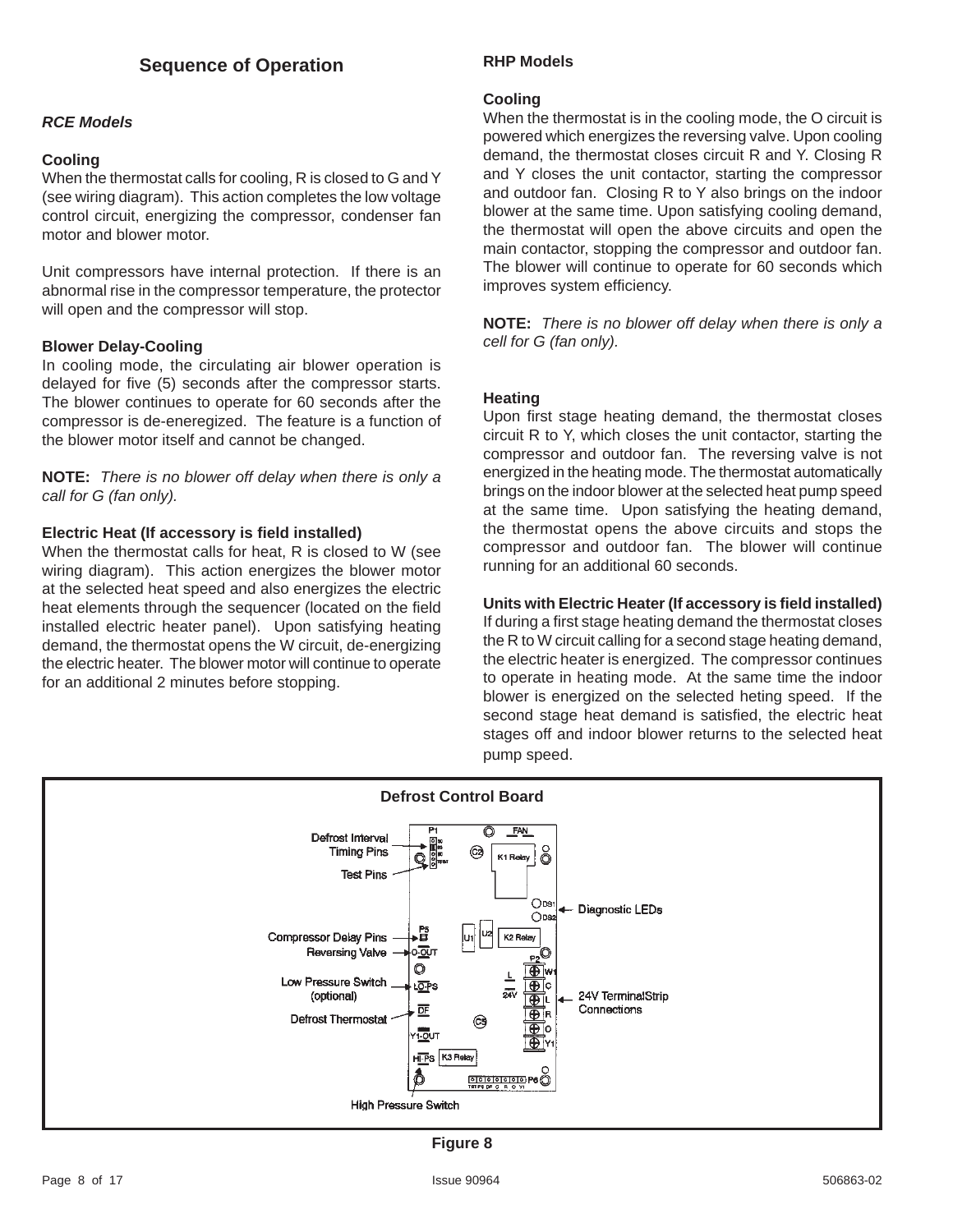#### *RCE Models*

#### **Cooling**

When the thermostat calls for cooling, R is closed to G and Y (see wiring diagram). This action completes the low voltage control circuit, energizing the compressor, condenser fan motor and blower motor.

Unit compressors have internal protection. If there is an abnormal rise in the compressor temperature, the protector will open and the compressor will stop.

#### **Blower Delay-Cooling**

In cooling mode, the circulating air blower operation is delayed for five (5) seconds after the compressor starts. The blower continues to operate for 60 seconds after the compressor is de-eneregized. The feature is a function of the blower motor itself and cannot be changed.

**NOTE:** *There is no blower off delay when there is only a call for G (fan only).*

#### **Electric Heat (If accessory is field installed)**

When the thermostat calls for heat, R is closed to W (see wiring diagram). This action energizes the blower motor at the selected heat speed and also energizes the electric heat elements through the sequencer (located on the field installed electric heater panel). Upon satisfying heating demand, the thermostat opens the W circuit, de-energizing the electric heater. The blower motor will continue to operate for an additional 2 minutes before stopping.

#### **RHP Models**

#### **Cooling**

When the thermostat is in the cooling mode, the O circuit is powered which energizes the reversing valve. Upon cooling demand, the thermostat closes circuit R and Y. Closing R and Y closes the unit contactor, starting the compressor and outdoor fan. Closing R to Y also brings on the indoor blower at the same time. Upon satisfying cooling demand, the thermostat will open the above circuits and open the main contactor, stopping the compressor and outdoor fan. The blower will continue to operate for 60 seconds which improves system efficiency.

**NOTE:** *There is no blower off delay when there is only a cell for G (fan only).*

#### **Heating**

Upon first stage heating demand, the thermostat closes circuit R to Y, which closes the unit contactor, starting the compressor and outdoor fan. The reversing valve is not energized in the heating mode. The thermostat automatically brings on the indoor blower at the selected heat pump speed at the same time. Upon satisfying the heating demand, the thermostat opens the above circuits and stops the compressor and outdoor fan. The blower will continue running for an additional 60 seconds.

#### **Units with Electric Heater (If accessory is field installed)**

If during a first stage heating demand the thermostat closes the R to W circuit calling for a second stage heating demand, the electric heater is energized. The compressor continues to operate in heating mode. At the same time the indoor blower is energized on the selected heting speed. If the second stage heat demand is satisfied, the electric heat stages off and indoor blower returns to the selected heat pump speed.



**Figure 8**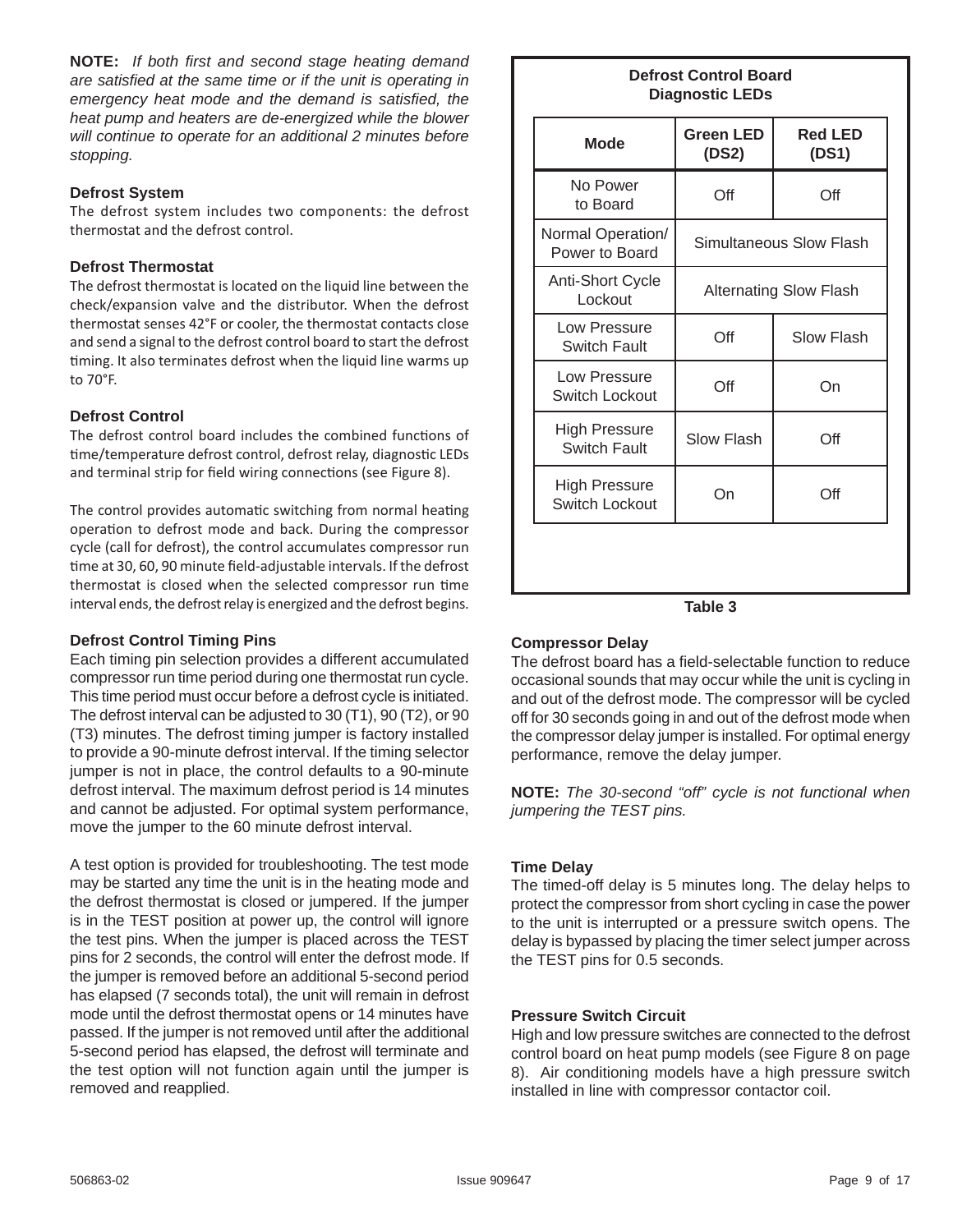**NOTE:** If both first and second stage heating demand *are satisfied at the same time or if the unit is operating in emergency heat mode and the demand is satisfied, the heat pump and heaters are de-energized while the blower will continue to operate for an additional 2 minutes before stopping.*

#### **Defrost System**

The defrost system includes two components: the defrost thermostat and the defrost control.

#### **Defrost Thermostat**

The defrost thermostat is located on the liquid line between the check/expansion valve and the distributor. When the defrost thermostat senses 42°F or cooler, the thermostat contacts close and send a signal to the defrost control board to start the defrost timing. It also terminates defrost when the liquid line warms up to 70°F.

#### **Defrost Control**

The defrost control board includes the combined functions of time/temperature defrost control, defrost relay, diagnostic LEDs and terminal strip for field wiring connections (see Figure 8).

The control provides automatic switching from normal heating operation to defrost mode and back. During the compressor cycle (call for defrost), the control accumulates compressor run time at 30, 60, 90 minute field-adjustable intervals. If the defrost thermostat is closed when the selected compressor run time interval ends, the defrost relay is energized and the defrost begins.

#### **Defrost Control Timing Pins**

Each timing pin selection provides a different accumulated compressor run time period during one thermostat run cycle. This time period must occur before a defrost cycle is initiated. The defrost interval can be adjusted to 30 (T1), 90 (T2), or 90 (T3) minutes. The defrost timing jumper is factory installed to provide a 90-minute defrost interval. If the timing selector jumper is not in place, the control defaults to a 90-minute defrost interval. The maximum defrost period is 14 minutes and cannot be adjusted. For optimal system performance, move the jumper to the 60 minute defrost interval.

A test option is provided for troubleshooting. The test mode may be started any time the unit is in the heating mode and the defrost thermostat is closed or jumpered. If the jumper is in the TEST position at power up, the control will ignore the test pins. When the jumper is placed across the TEST pins for 2 seconds, the control will enter the defrost mode. If the jumper is removed before an additional 5-second period has elapsed (7 seconds total), the unit will remain in defrost mode until the defrost thermostat opens or 14 minutes have passed. If the jumper is not removed until after the additional 5-second period has elapsed, the defrost will terminate and the test option will not function again until the jumper is removed and reapplied.

#### **Defrost Control Board Diagnostic LEDs**

| No Power<br>to Board                   | Off                           | Off        |
|----------------------------------------|-------------------------------|------------|
| Normal Operation/<br>Power to Board    | Simultaneous Slow Flash       |            |
| <b>Anti-Short Cycle</b><br>Lockout     | <b>Alternating Slow Flash</b> |            |
| Low Pressure<br>Switch Fault           | Off                           | Slow Flash |
| Low Pressure<br><b>Switch Lockout</b>  | Off                           | On         |
| <b>High Pressure</b><br>Switch Fault   | <b>Slow Flash</b>             | Off        |
| <b>High Pressure</b><br>Switch Lockout | On                            | Off        |

#### **Table 3**

#### **Compressor Delay**

The defrost board has a field-selectable function to reduce occasional sounds that may occur while the unit is cycling in and out of the defrost mode. The compressor will be cycled off for 30 seconds going in and out of the defrost mode when the compressor delay jumper is installed. For optimal energy performance, remove the delay jumper.

**NOTE:** *The 30-second "off" cycle is not functional when jumpering the TEST pins.*

#### **Time Delay**

The timed-off delay is 5 minutes long. The delay helps to protect the compressor from short cycling in case the power to the unit is interrupted or a pressure switch opens. The delay is bypassed by placing the timer select jumper across the TEST pins for 0.5 seconds.

#### **Pressure Switch Circuit**

High and low pressure switches are connected to the defrost control board on heat pump models (see Figure 8 on page 8). Air conditioning models have a high pressure switch installed in line with compressor contactor coil.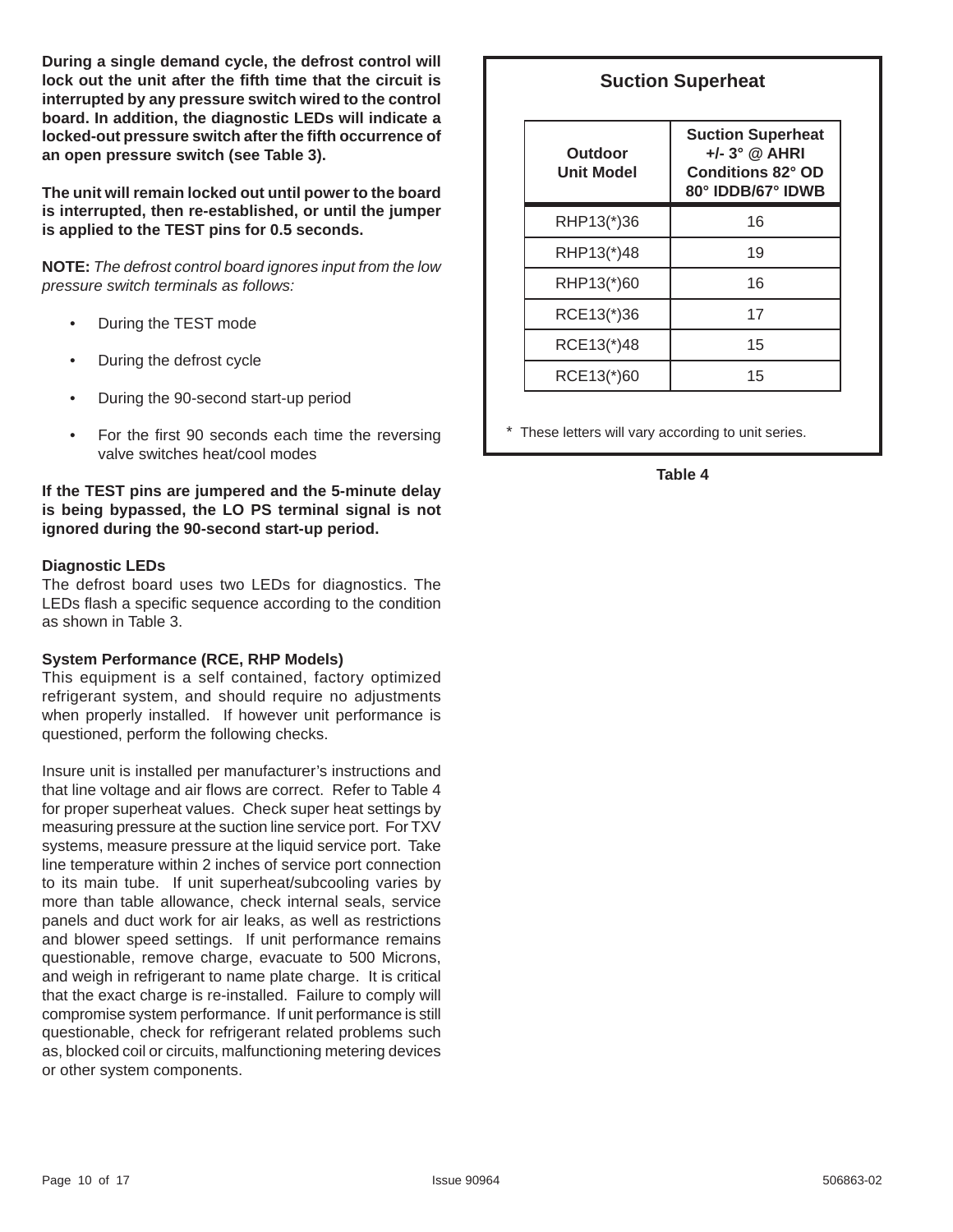**During a single demand cycle, the defrost control will**  lock out the unit after the fifth time that the circuit is **interrupted by any pressure switch wired to the control board. In addition, the diagnostic LEDs will indicate a**  locked-out pressure switch after the fifth occurrence of **an open pressure switch (see Table 3).** 

**The unit will remain locked out until power to the board is interrupted, then re-established, or until the jumper is applied to the TEST pins for 0.5 seconds.**

**NOTE:** *The defrost control board ignores input from the low pressure switch terminals as follows:*

- During the TEST mode
- During the defrost cycle
- During the 90-second start-up period
- For the first 90 seconds each time the reversing valve switches heat/cool modes

#### **If the TEST pins are jumpered and the 5-minute delay is being bypassed, the LO PS terminal signal is not ignored during the 90-second start-up period.**

#### **Diagnostic LEDs**

The defrost board uses two LEDs for diagnostics. The LEDs flash a specific sequence according to the condition as shown in Table 3.

#### **System Performance (RCE, RHP Models)**

This equipment is a self contained, factory optimized refrigerant system, and should require no adjustments when properly installed. If however unit performance is questioned, perform the following checks.

Insure unit is installed per manufacturer's instructions and that line voltage and air flows are correct. Refer to Table 4 for proper superheat values. Check super heat settings by measuring pressure at the suction line service port. For TXV systems, measure pressure at the liquid service port. Take line temperature within 2 inches of service port connection to its main tube. If unit superheat/subcooling varies by more than table allowance, check internal seals, service panels and duct work for air leaks, as well as restrictions and blower speed settings. If unit performance remains questionable, remove charge, evacuate to 500 Microns, and weigh in refrigerant to name plate charge. It is critical that the exact charge is re-installed. Failure to comply will compromise system performance. If unit performance is still questionable, check for refrigerant related problems such as, blocked coil or circuits, malfunctioning metering devices or other system components.

#### **Suction Superheat**

| Outdoor<br><b>Unit Model</b> | <b>Suction Superheat</b><br>$+/- 3°$ @ AHRI<br>Conditions 82° OD<br>80° IDDB/67° IDWB |  |
|------------------------------|---------------------------------------------------------------------------------------|--|
| RHP13(*)36                   | 16                                                                                    |  |
| RHP13(*)48                   | 19                                                                                    |  |
| RHP13(*)60                   | 16                                                                                    |  |
| RCE13(*)36                   | 17                                                                                    |  |
| RCE13(*)48                   | 15                                                                                    |  |
| RCE13(*)60                   | 15                                                                                    |  |

These letters will vary according to unit series.

**Table 4**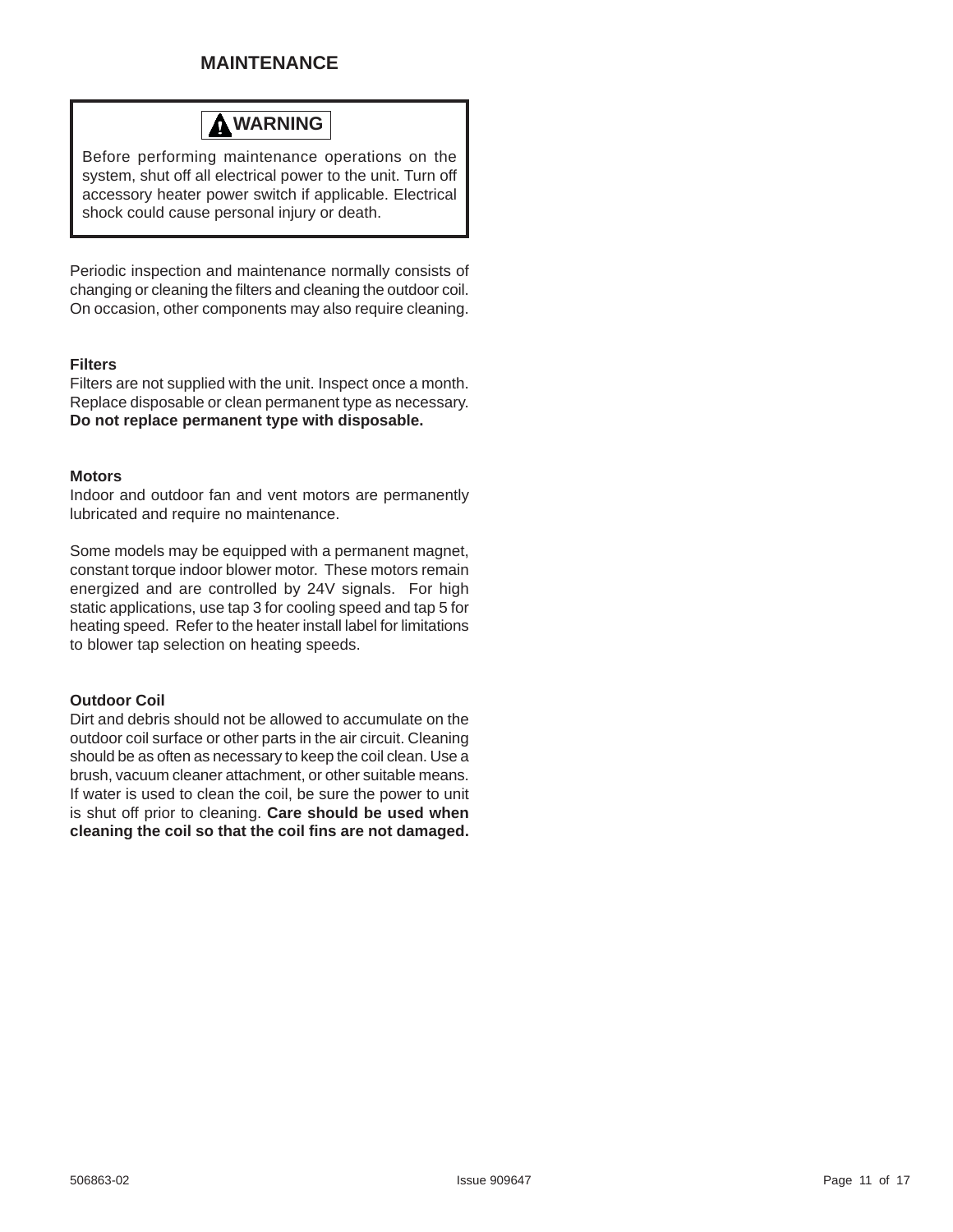## **MAINTENANCE**

# **WARNING**

Before performing maintenance operations on the system, shut off all electrical power to the unit. Turn off accessory heater power switch if applicable. Electrical shock could cause personal injury or death.

Periodic inspection and maintenance normally consists of changing or cleaning the filters and cleaning the outdoor coil. On occasion, other components may also require cleaning.

#### **Filters**

Filters are not supplied with the unit. Inspect once a month. Replace disposable or clean permanent type as necessary. **Do not replace permanent type with disposable.**

#### **Motors**

Indoor and outdoor fan and vent motors are permanently lubricated and require no maintenance.

Some models may be equipped with a permanent magnet, constant torque indoor blower motor. These motors remain energized and are controlled by 24V signals. For high static applications, use tap 3 for cooling speed and tap 5 for heating speed. Refer to the heater install label for limitations to blower tap selection on heating speeds.

#### **Outdoor Coil**

Dirt and debris should not be allowed to accumulate on the outdoor coil surface or other parts in the air circuit. Cleaning should be as often as necessary to keep the coil clean. Use a brush, vacuum cleaner attachment, or other suitable means. If water is used to clean the coil, be sure the power to unit is shut off prior to cleaning. **Care should be used when cleaning the coil so that the coil fi ns are not damaged.**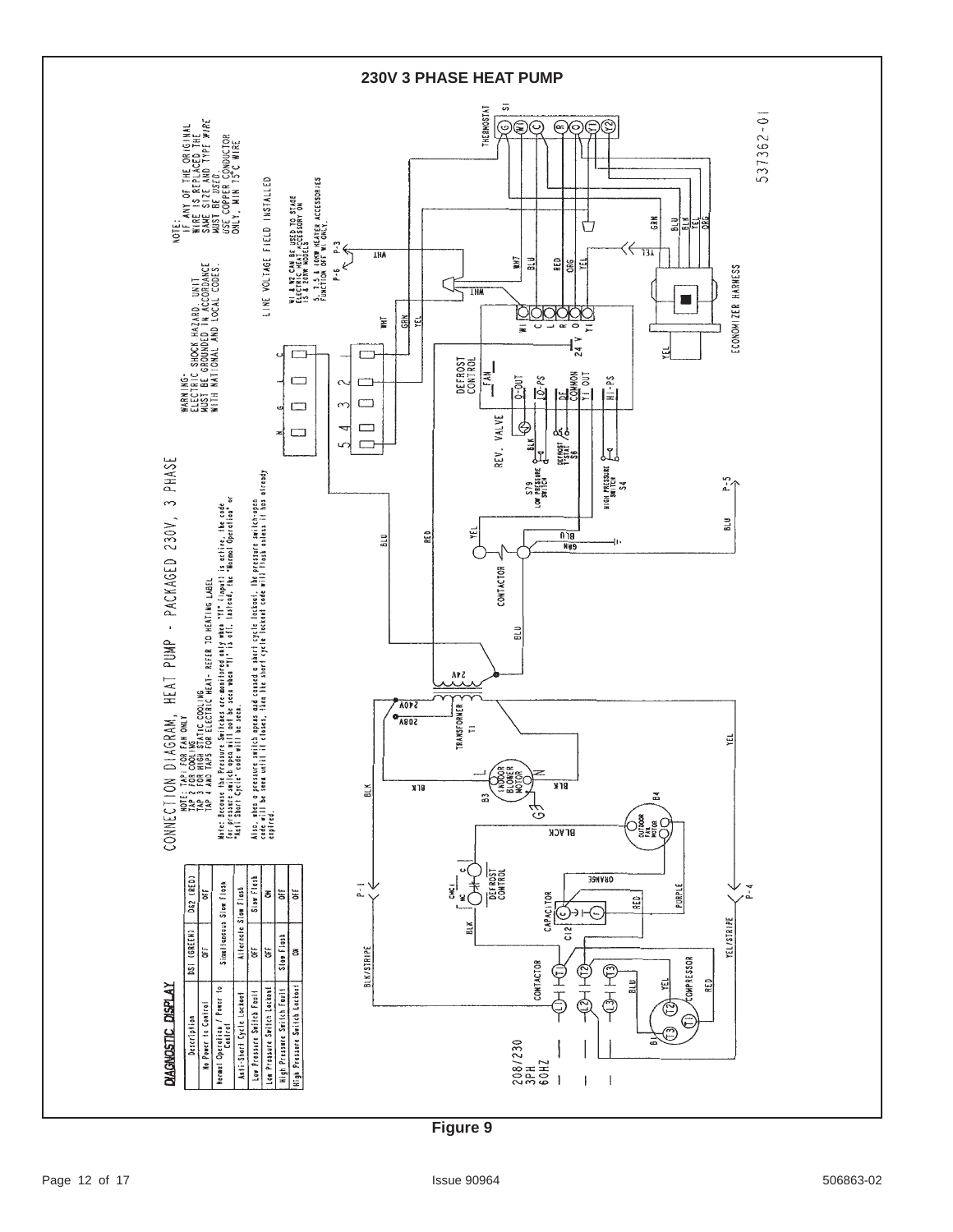

**Figure 9**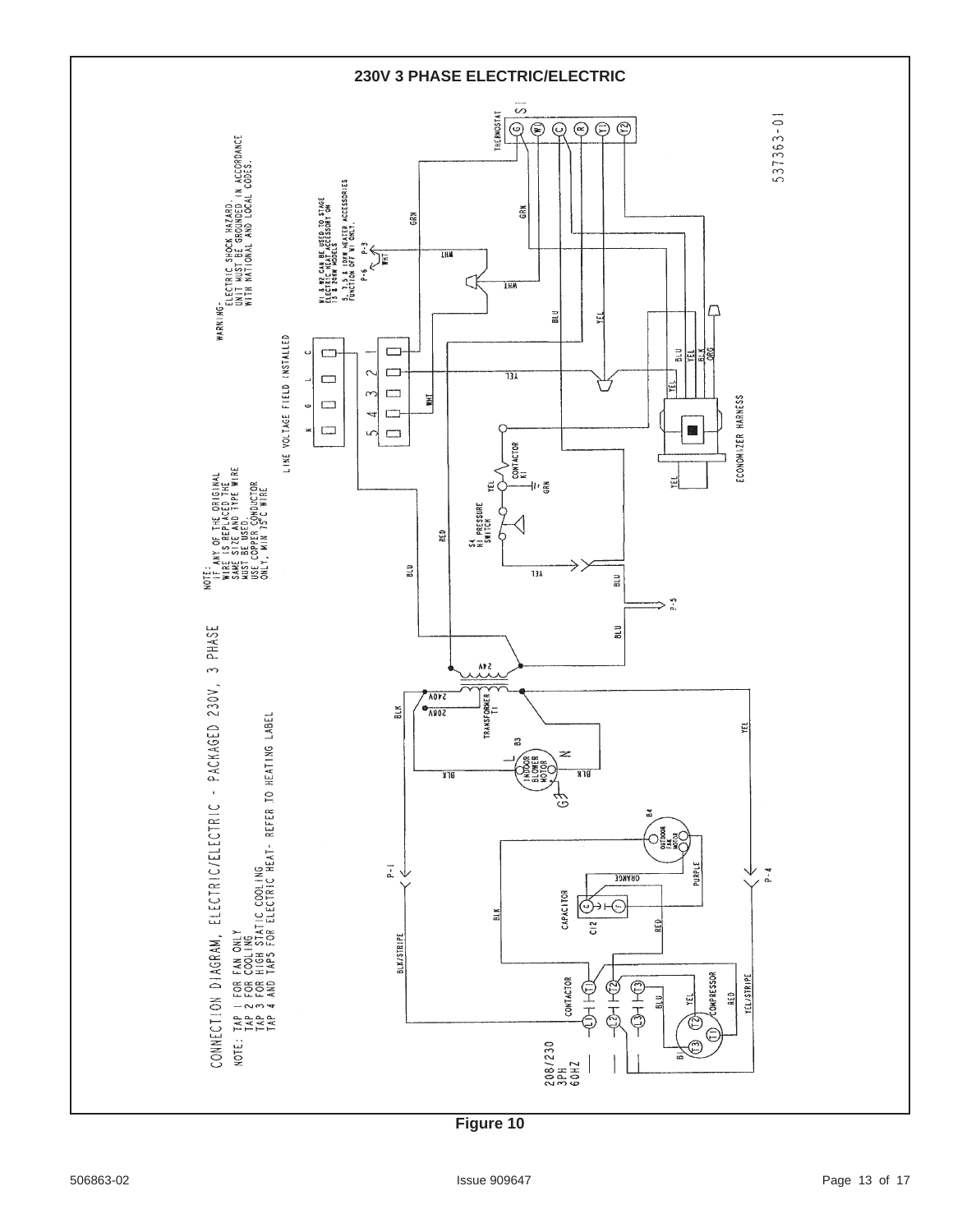

**Figure 10**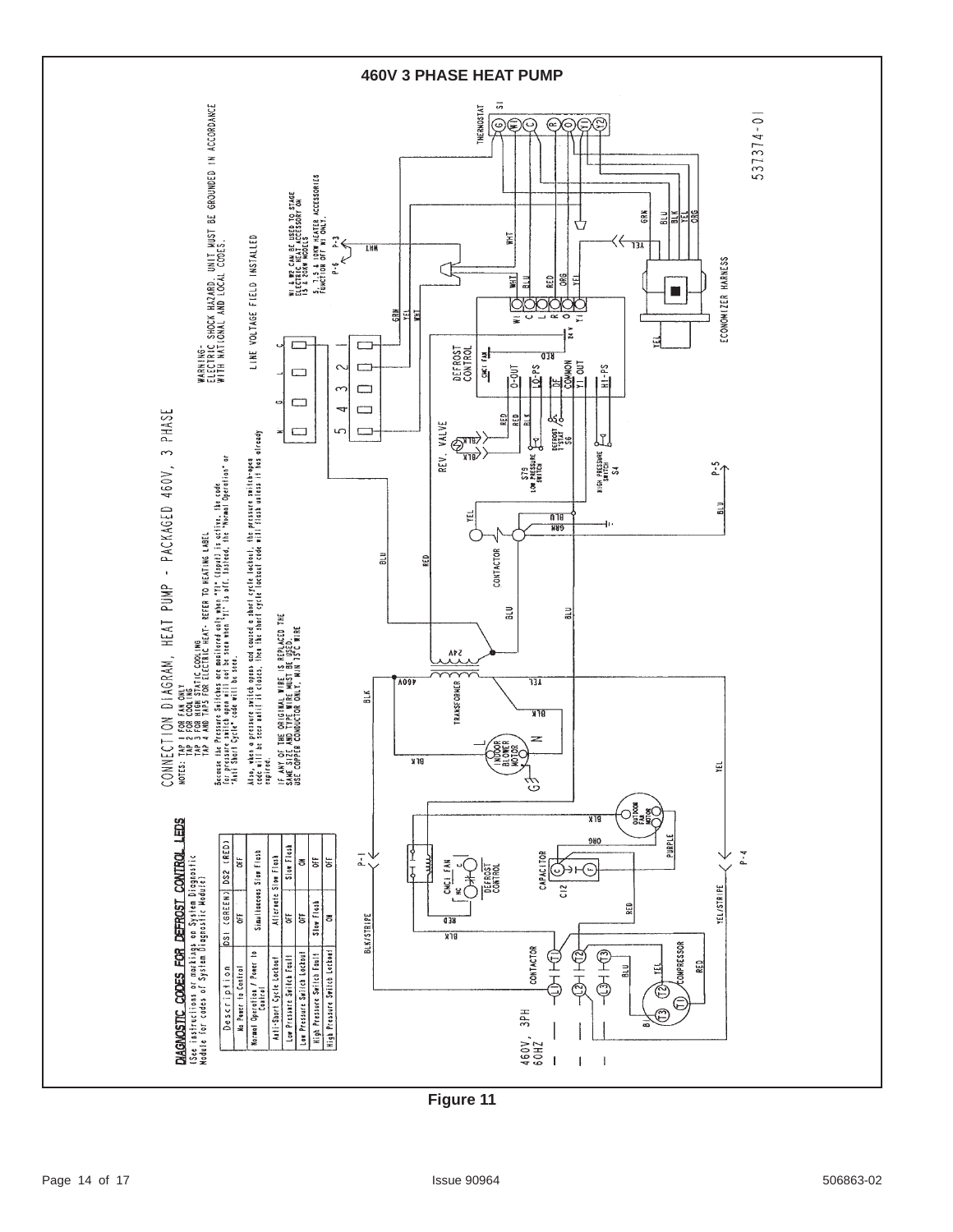

**Figure 11**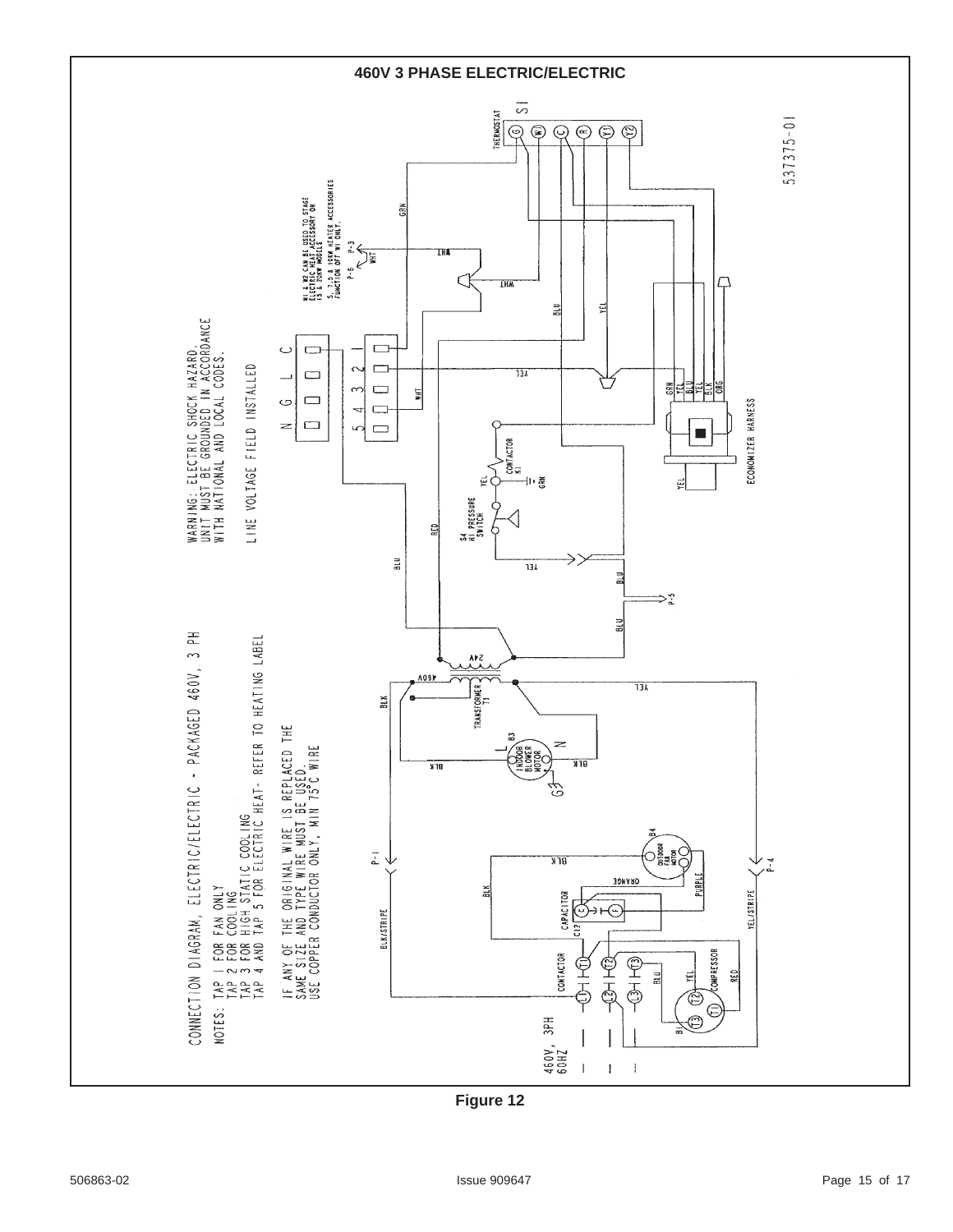

**Figure 12**